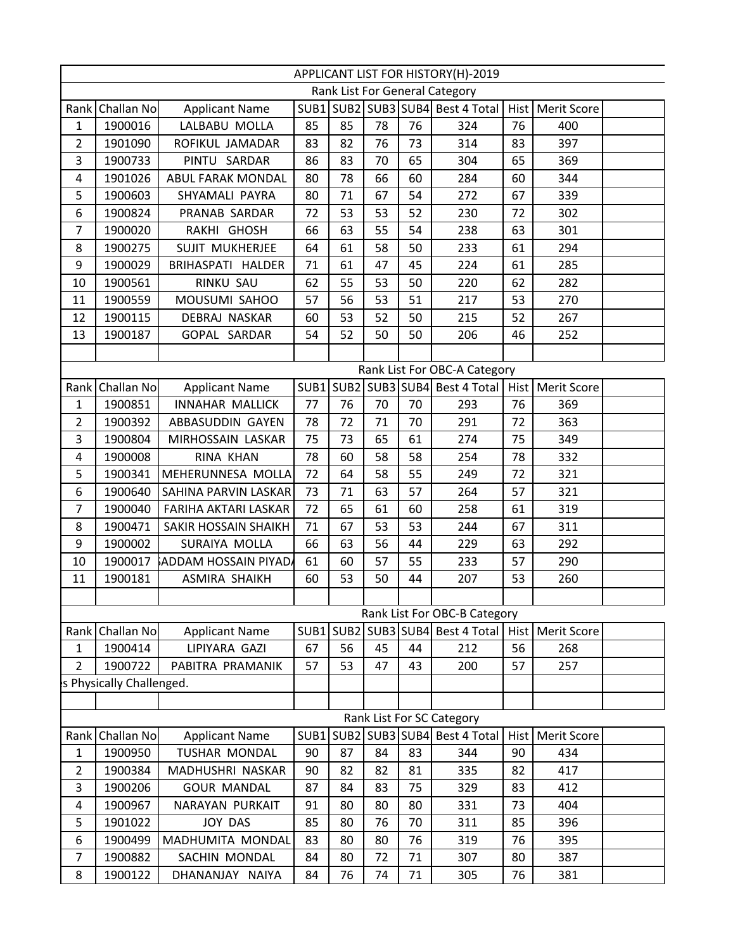|                | APPLICANT LIST FOR HISTORY(H)-2019 |                          |      |    |    |    |                                                   |    |                    |  |
|----------------|------------------------------------|--------------------------|------|----|----|----|---------------------------------------------------|----|--------------------|--|
|                | Rank List For General Category     |                          |      |    |    |    |                                                   |    |                    |  |
|                | Rank Challan No                    | <b>Applicant Name</b>    |      |    |    |    | SUB1 SUB2 SUB3 SUB4 Best 4 Total                  |    | Hist   Merit Score |  |
| $\mathbf{1}$   | 1900016                            | LALBABU MOLLA            | 85   | 85 | 78 | 76 | 324                                               | 76 | 400                |  |
| $\overline{2}$ | 1901090                            | ROFIKUL JAMADAR          | 83   | 82 | 76 | 73 | 314                                               | 83 | 397                |  |
| 3              | 1900733                            | PINTU SARDAR             | 86   | 83 | 70 | 65 | 304                                               | 65 | 369                |  |
| 4              | 1901026                            | <b>ABUL FARAK MONDAL</b> | 80   | 78 | 66 | 60 | 284                                               | 60 | 344                |  |
| 5              | 1900603                            | SHYAMALI PAYRA           | 80   | 71 | 67 | 54 | 272                                               | 67 | 339                |  |
| 6              | 1900824                            | PRANAB SARDAR            | 72   | 53 | 53 | 52 | 230                                               | 72 | 302                |  |
| $\overline{7}$ | 1900020                            | RAKHI GHOSH              | 66   | 63 | 55 | 54 | 238                                               | 63 | 301                |  |
| 8              | 1900275                            | <b>SUJIT MUKHERJEE</b>   | 64   | 61 | 58 | 50 | 233                                               | 61 | 294                |  |
| 9              | 1900029                            | BRIHASPATI HALDER        | 71   | 61 | 47 | 45 | 224                                               | 61 | 285                |  |
| 10             | 1900561                            | RINKU SAU                | 62   | 55 | 53 | 50 | 220                                               | 62 | 282                |  |
| 11             | 1900559                            | MOUSUMI SAHOO            | 57   | 56 | 53 | 51 | 217                                               | 53 | 270                |  |
| 12             | 1900115                            | DEBRAJ NASKAR            | 60   | 53 | 52 | 50 | 215                                               | 52 | 267                |  |
| 13             | 1900187                            | GOPAL SARDAR             | 54   | 52 | 50 | 50 | 206                                               | 46 | 252                |  |
|                |                                    |                          |      |    |    |    |                                                   |    |                    |  |
|                |                                    |                          |      |    |    |    | Rank List For OBC-A Category                      |    |                    |  |
|                | Rank Challan No                    | <b>Applicant Name</b>    |      |    |    |    | SUB1 SUB2 SUB3 SUB4 Best 4 Total Hist Merit Score |    |                    |  |
| $\mathbf{1}$   | 1900851                            | <b>INNAHAR MALLICK</b>   | 77   | 76 | 70 | 70 | 293                                               | 76 | 369                |  |
| $\overline{2}$ | 1900392                            | ABBASUDDIN GAYEN         | 78   | 72 | 71 | 70 | 291                                               | 72 | 363                |  |
| 3              | 1900804                            | MIRHOSSAIN LASKAR        | 75   | 73 | 65 | 61 | 274                                               | 75 | 349                |  |
| 4              | 1900008                            | RINA KHAN                | 78   | 60 | 58 | 58 | 254                                               | 78 | 332                |  |
| 5              | 1900341                            | MEHERUNNESA MOLLA        | 72   | 64 | 58 | 55 | 249                                               | 72 | 321                |  |
| 6              | 1900640                            | SAHINA PARVIN LASKAR     | 73   | 71 | 63 | 57 | 264                                               | 57 | 321                |  |
| $\overline{7}$ | 1900040                            | FARIHA AKTARI LASKAR     | 72   | 65 | 61 | 60 | 258                                               | 61 | 319                |  |
| 8              | 1900471                            | SAKIR HOSSAIN SHAIKH     | 71   | 67 | 53 | 53 | 244                                               | 67 | 311                |  |
| 9              | 1900002                            | SURAIYA MOLLA            | 66   | 63 | 56 | 44 | 229                                               | 63 | 292                |  |
| 10             | 1900017                            | ADDAM HOSSAIN PIYADA     | 61   | 60 | 57 | 55 | 233                                               | 57 | 290                |  |
| 11             | 1900181                            | ASMIRA SHAIKH            | 60   | 53 | 50 | 44 | 207                                               | 53 | 260                |  |
|                |                                    |                          |      |    |    |    |                                                   |    |                    |  |
|                |                                    |                          |      |    |    |    | Rank List For OBC-B Category                      |    |                    |  |
|                | Rank Challan No                    | <b>Applicant Name</b>    |      |    |    |    | SUB1 SUB2 SUB3 SUB4 Best 4 Total                  |    | Hist Merit Score   |  |
| 1              | 1900414                            | LIPIYARA GAZI            | 67   | 56 | 45 | 44 | 212                                               | 56 | 268                |  |
| $\overline{2}$ | 1900722                            | PABITRA PRAMANIK         | 57   | 53 | 47 | 43 | 200                                               | 57 | 257                |  |
|                | s Physically Challenged.           |                          |      |    |    |    |                                                   |    |                    |  |
|                |                                    |                          |      |    |    |    |                                                   |    |                    |  |
|                |                                    |                          |      |    |    |    | Rank List For SC Category                         |    |                    |  |
|                | Rank Challan No                    | <b>Applicant Name</b>    | SUB1 |    |    |    | SUB2 SUB3 SUB4 Best 4 Total                       |    | Hist Merit Score   |  |
| 1              | 1900950                            | <b>TUSHAR MONDAL</b>     | 90   | 87 | 84 | 83 | 344                                               | 90 | 434                |  |
| 2              | 1900384                            | MADHUSHRI NASKAR         | 90   | 82 | 82 | 81 | 335                                               | 82 | 417                |  |
| 3              | 1900206                            | <b>GOUR MANDAL</b>       | 87   | 84 | 83 | 75 | 329                                               | 83 | 412                |  |
| 4              | 1900967                            | NARAYAN PURKAIT          | 91   | 80 | 80 | 80 | 331                                               | 73 | 404                |  |
| 5              | 1901022                            | JOY DAS                  | 85   | 80 | 76 | 70 | 311                                               | 85 | 396                |  |
| 6              | 1900499                            | MADHUMITA MONDAL         | 83   | 80 | 80 | 76 | 319                                               | 76 | 395                |  |
| 7              | 1900882                            | SACHIN MONDAL            | 84   | 80 | 72 | 71 | 307                                               | 80 | 387                |  |
| 8              | 1900122                            | DHANANJAY NAIYA          | 84   | 76 | 74 | 71 | 305                                               | 76 | 381                |  |
|                |                                    |                          |      |    |    |    |                                                   |    |                    |  |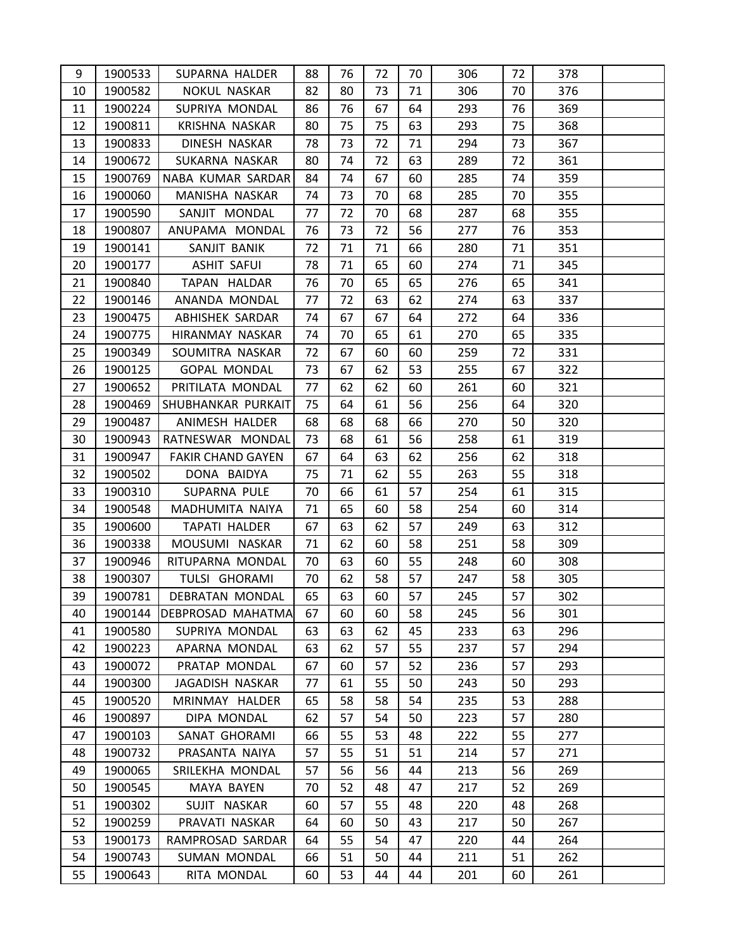| 9  | 1900533 | SUPARNA HALDER           | 88 | 76 | 72 | 70 | 306 | 72 | 378 |  |
|----|---------|--------------------------|----|----|----|----|-----|----|-----|--|
| 10 | 1900582 | NOKUL NASKAR             | 82 | 80 | 73 | 71 | 306 | 70 | 376 |  |
| 11 | 1900224 | SUPRIYA MONDAL           | 86 | 76 | 67 | 64 | 293 | 76 | 369 |  |
| 12 | 1900811 | KRISHNA NASKAR           | 80 | 75 | 75 | 63 | 293 | 75 | 368 |  |
| 13 | 1900833 | DINESH NASKAR            | 78 | 73 | 72 | 71 | 294 | 73 | 367 |  |
| 14 | 1900672 | SUKARNA NASKAR           | 80 | 74 | 72 | 63 | 289 | 72 | 361 |  |
| 15 | 1900769 | NABA KUMAR SARDAR        | 84 | 74 | 67 | 60 | 285 | 74 | 359 |  |
| 16 | 1900060 | MANISHA NASKAR           | 74 | 73 | 70 | 68 | 285 | 70 | 355 |  |
| 17 | 1900590 | SANJIT MONDAL            | 77 | 72 | 70 | 68 | 287 | 68 | 355 |  |
| 18 | 1900807 | ANUPAMA MONDAL           | 76 | 73 | 72 | 56 | 277 | 76 | 353 |  |
| 19 | 1900141 | SANJIT BANIK             | 72 | 71 | 71 | 66 | 280 | 71 | 351 |  |
| 20 | 1900177 | <b>ASHIT SAFUI</b>       | 78 | 71 | 65 | 60 | 274 | 71 | 345 |  |
| 21 | 1900840 | TAPAN HALDAR             | 76 | 70 | 65 | 65 | 276 | 65 | 341 |  |
| 22 | 1900146 | ANANDA MONDAL            | 77 | 72 | 63 | 62 | 274 | 63 | 337 |  |
| 23 | 1900475 | ABHISHEK SARDAR          | 74 | 67 | 67 | 64 | 272 | 64 | 336 |  |
| 24 | 1900775 | HIRANMAY NASKAR          | 74 | 70 | 65 | 61 | 270 | 65 | 335 |  |
| 25 | 1900349 | SOUMITRA NASKAR          | 72 | 67 | 60 | 60 | 259 | 72 | 331 |  |
| 26 | 1900125 | <b>GOPAL MONDAL</b>      | 73 | 67 | 62 | 53 | 255 | 67 | 322 |  |
| 27 | 1900652 | PRITILATA MONDAL         | 77 | 62 | 62 | 60 | 261 | 60 | 321 |  |
| 28 | 1900469 | SHUBHANKAR PURKAIT       | 75 | 64 | 61 | 56 | 256 | 64 | 320 |  |
| 29 | 1900487 | ANIMESH HALDER           | 68 | 68 | 68 | 66 | 270 | 50 | 320 |  |
| 30 | 1900943 | RATNESWAR MONDAL         | 73 | 68 | 61 | 56 | 258 | 61 | 319 |  |
| 31 | 1900947 | <b>FAKIR CHAND GAYEN</b> | 67 | 64 | 63 | 62 | 256 | 62 | 318 |  |
| 32 | 1900502 | DONA BAIDYA              | 75 | 71 | 62 | 55 | 263 | 55 | 318 |  |
| 33 | 1900310 | SUPARNA PULE             | 70 | 66 | 61 | 57 | 254 | 61 | 315 |  |
| 34 | 1900548 | MADHUMITA NAIYA          | 71 | 65 | 60 | 58 | 254 | 60 | 314 |  |
| 35 | 1900600 | <b>TAPATI HALDER</b>     | 67 | 63 | 62 | 57 | 249 | 63 | 312 |  |
| 36 | 1900338 | MOUSUMI NASKAR           | 71 | 62 | 60 | 58 | 251 | 58 | 309 |  |
| 37 | 1900946 | RITUPARNA MONDAL         | 70 | 63 | 60 | 55 | 248 | 60 | 308 |  |
| 38 | 1900307 | TULSI GHORAMI            | 70 | 62 | 58 | 57 | 247 | 58 | 305 |  |
| 39 | 1900781 | DEBRATAN MONDAL          | 65 | 63 | 60 | 57 | 245 | 57 | 302 |  |
| 40 | 1900144 | DEBPROSAD MAHATMA        | 67 | 60 | 60 | 58 | 245 | 56 | 301 |  |
| 41 | 1900580 | SUPRIYA MONDAL           | 63 | 63 | 62 | 45 | 233 | 63 | 296 |  |
| 42 | 1900223 | APARNA MONDAL            | 63 | 62 | 57 | 55 | 237 | 57 | 294 |  |
| 43 | 1900072 | PRATAP MONDAL            | 67 | 60 | 57 | 52 | 236 | 57 | 293 |  |
| 44 | 1900300 | JAGADISH NASKAR          | 77 | 61 | 55 | 50 | 243 | 50 | 293 |  |
| 45 | 1900520 | MRINMAY HALDER           | 65 | 58 | 58 | 54 | 235 | 53 | 288 |  |
| 46 | 1900897 | DIPA MONDAL              | 62 | 57 | 54 | 50 | 223 | 57 | 280 |  |
| 47 | 1900103 | SANAT GHORAMI            | 66 | 55 | 53 | 48 | 222 | 55 | 277 |  |
| 48 | 1900732 | PRASANTA NAIYA           | 57 | 55 | 51 | 51 | 214 | 57 | 271 |  |
| 49 | 1900065 | SRILEKHA MONDAL          | 57 | 56 | 56 | 44 | 213 | 56 | 269 |  |
| 50 | 1900545 | MAYA BAYEN               | 70 | 52 | 48 | 47 | 217 | 52 | 269 |  |
| 51 | 1900302 | SUJIT NASKAR             | 60 | 57 | 55 | 48 | 220 | 48 | 268 |  |
| 52 | 1900259 | PRAVATI NASKAR           | 64 | 60 | 50 | 43 | 217 | 50 | 267 |  |
| 53 | 1900173 | RAMPROSAD SARDAR         | 64 | 55 | 54 | 47 | 220 | 44 | 264 |  |
| 54 | 1900743 | <b>SUMAN MONDAL</b>      | 66 | 51 | 50 | 44 | 211 | 51 | 262 |  |
| 55 | 1900643 | RITA MONDAL              | 60 | 53 | 44 | 44 | 201 | 60 | 261 |  |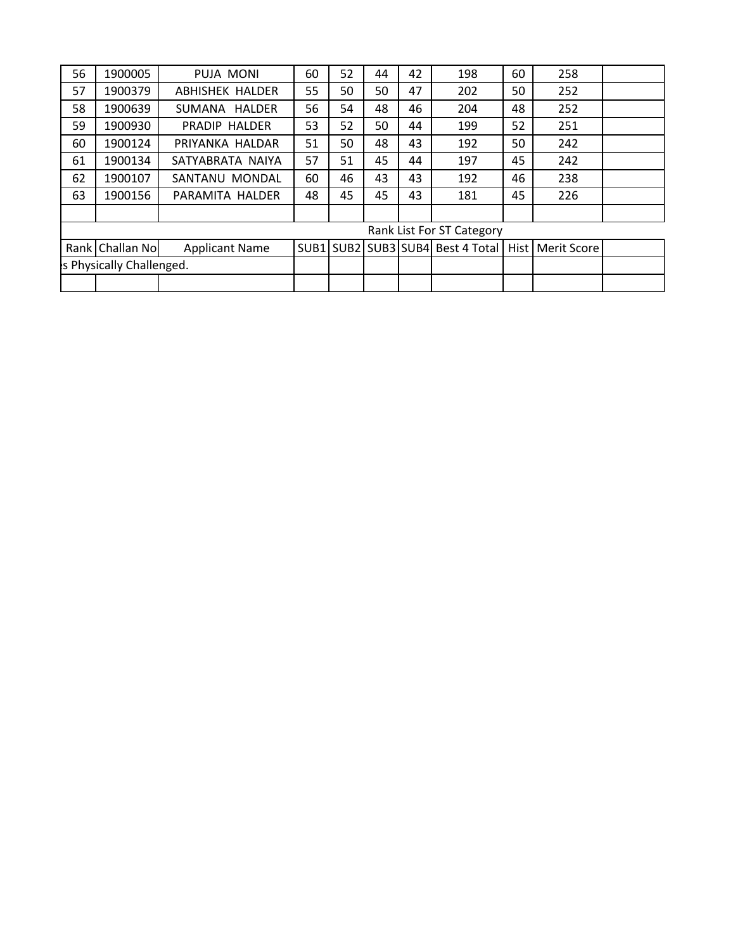| 56 | 1900005                   | PUJA MONI             | 60 | 52 | 44 | 42 | 198                                                 | 60 | 258 |  |
|----|---------------------------|-----------------------|----|----|----|----|-----------------------------------------------------|----|-----|--|
| 57 | 1900379                   | ABHISHEK HALDER       | 55 | 50 | 50 | 47 | 202                                                 | 50 | 252 |  |
| 58 | 1900639                   | SUMANA HALDER         | 56 | 54 | 48 | 46 | 204                                                 | 48 | 252 |  |
| 59 | 1900930                   | PRADIP HALDER         | 53 | 52 | 50 | 44 | 199                                                 | 52 | 251 |  |
| 60 | 1900124                   | PRIYANKA HALDAR       | 51 | 50 | 48 | 43 | 192                                                 | 50 | 242 |  |
| 61 | 1900134                   | SATYABRATA NAIYA      | 57 | 51 | 45 | 44 | 197                                                 | 45 | 242 |  |
| 62 | 1900107                   | SANTANU MONDAL        | 60 | 46 | 43 | 43 | 192                                                 | 46 | 238 |  |
| 63 | 1900156                   | PARAMITA HALDER       | 48 | 45 | 45 | 43 | 181                                                 | 45 | 226 |  |
|    |                           |                       |    |    |    |    |                                                     |    |     |  |
|    | Rank List For ST Category |                       |    |    |    |    |                                                     |    |     |  |
|    | Rank Challan No           | <b>Applicant Name</b> |    |    |    |    | SUB1 SUB2 SUB3 SUB4 Best 4 Total Hist   Merit Score |    |     |  |
|    | s Physically Challenged.  |                       |    |    |    |    |                                                     |    |     |  |
|    |                           |                       |    |    |    |    |                                                     |    |     |  |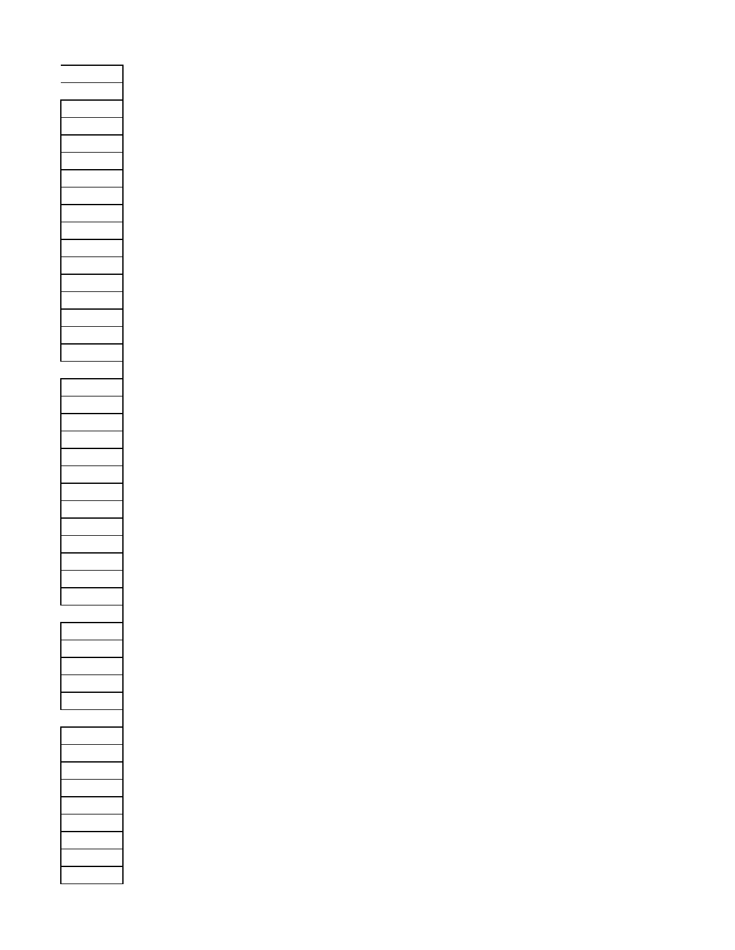